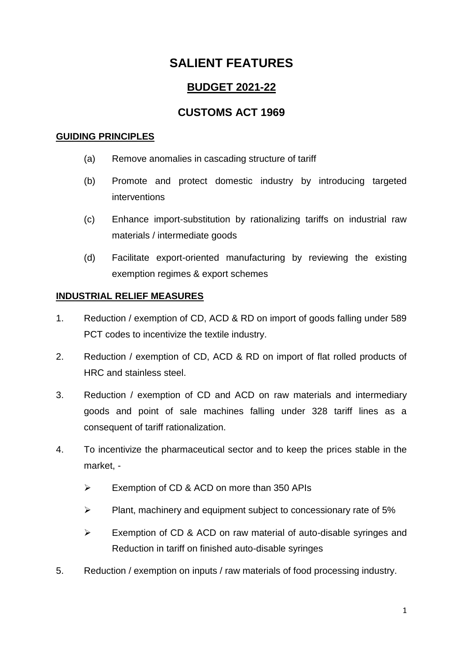## **BUDGET 2021-22**

### **CUSTOMS ACT 1969**

#### **GUIDING PRINCIPLES**

- (a) Remove anomalies in cascading structure of tariff
- (b) Promote and protect domestic industry by introducing targeted interventions
- (c) Enhance import-substitution by rationalizing tariffs on industrial raw materials / intermediate goods
- (d) Facilitate export-oriented manufacturing by reviewing the existing exemption regimes & export schemes

### **INDUSTRIAL RELIEF MEASURES**

- 1. Reduction / exemption of CD, ACD & RD on import of goods falling under 589 PCT codes to incentivize the textile industry.
- 2. Reduction / exemption of CD, ACD & RD on import of flat rolled products of HRC and stainless steel.
- 3. Reduction / exemption of CD and ACD on raw materials and intermediary goods and point of sale machines falling under 328 tariff lines as a consequent of tariff rationalization.
- 4. To incentivize the pharmaceutical sector and to keep the prices stable in the market, -
	- $\triangleright$  Exemption of CD & ACD on more than 350 APIs
	- $\triangleright$  Plant, machinery and equipment subject to concessionary rate of 5%
	- Exemption of CD & ACD on raw material of auto-disable syringes and Reduction in tariff on finished auto-disable syringes
- 5. Reduction / exemption on inputs / raw materials of food processing industry.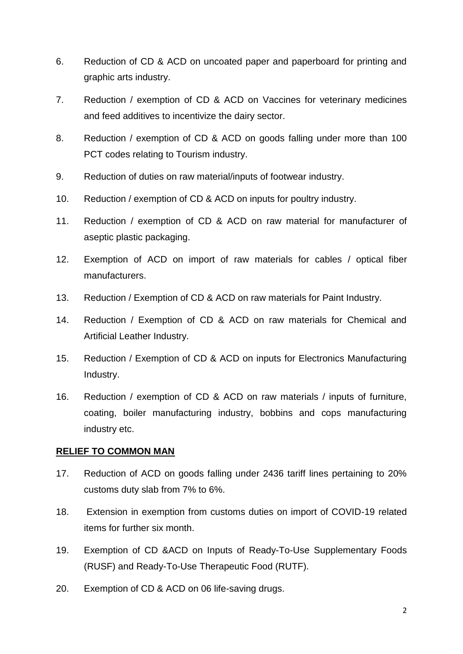- 6. Reduction of CD & ACD on uncoated paper and paperboard for printing and graphic arts industry.
- 7. Reduction / exemption of CD & ACD on Vaccines for veterinary medicines and feed additives to incentivize the dairy sector.
- 8. Reduction / exemption of CD & ACD on goods falling under more than 100 PCT codes relating to Tourism industry.
- 9. Reduction of duties on raw material/inputs of footwear industry.
- 10. Reduction / exemption of CD & ACD on inputs for poultry industry.
- 11. Reduction / exemption of CD & ACD on raw material for manufacturer of aseptic plastic packaging.
- 12. Exemption of ACD on import of raw materials for cables / optical fiber manufacturers.
- 13. Reduction / Exemption of CD & ACD on raw materials for Paint Industry.
- 14. Reduction / Exemption of CD & ACD on raw materials for Chemical and Artificial Leather Industry.
- 15. Reduction / Exemption of CD & ACD on inputs for Electronics Manufacturing Industry.
- 16. Reduction / exemption of CD & ACD on raw materials / inputs of furniture, coating, boiler manufacturing industry, bobbins and cops manufacturing industry etc.

#### **RELIEF TO COMMON MAN**

- 17. Reduction of ACD on goods falling under 2436 tariff lines pertaining to 20% customs duty slab from 7% to 6%.
- 18. Extension in exemption from customs duties on import of COVID-19 related items for further six month.
- 19. Exemption of CD &ACD on Inputs of Ready-To-Use Supplementary Foods (RUSF) and Ready-To-Use Therapeutic Food (RUTF).
- 20. Exemption of CD & ACD on 06 life-saving drugs.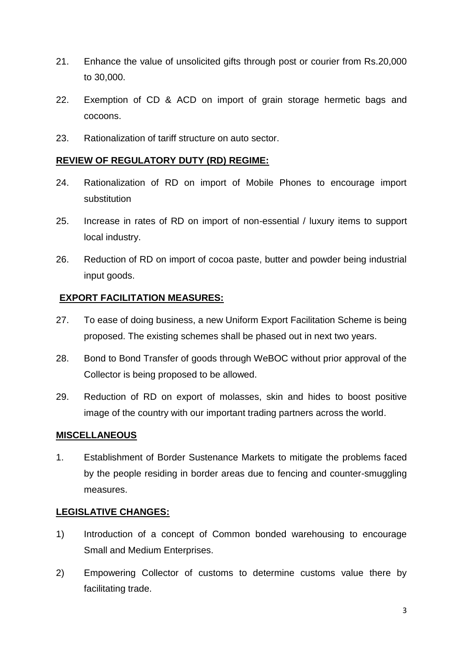- 21. Enhance the value of unsolicited gifts through post or courier from Rs.20,000 to 30,000.
- 22. Exemption of CD & ACD on import of grain storage hermetic bags and cocoons.
- 23. Rationalization of tariff structure on auto sector.

#### **REVIEW OF REGULATORY DUTY (RD) REGIME:**

- 24. Rationalization of RD on import of Mobile Phones to encourage import substitution
- 25. Increase in rates of RD on import of non-essential / luxury items to support local industry.
- 26. Reduction of RD on import of cocoa paste, butter and powder being industrial input goods.

### **EXPORT FACILITATION MEASURES:**

- 27. To ease of doing business, a new Uniform Export Facilitation Scheme is being proposed. The existing schemes shall be phased out in next two years.
- 28. Bond to Bond Transfer of goods through WeBOC without prior approval of the Collector is being proposed to be allowed.
- 29. Reduction of RD on export of molasses, skin and hides to boost positive image of the country with our important trading partners across the world.

#### **MISCELLANEOUS**

1. Establishment of Border Sustenance Markets to mitigate the problems faced by the people residing in border areas due to fencing and counter-smuggling measures.

### **LEGISLATIVE CHANGES:**

- 1) Introduction of a concept of Common bonded warehousing to encourage Small and Medium Enterprises.
- 2) Empowering Collector of customs to determine customs value there by facilitating trade.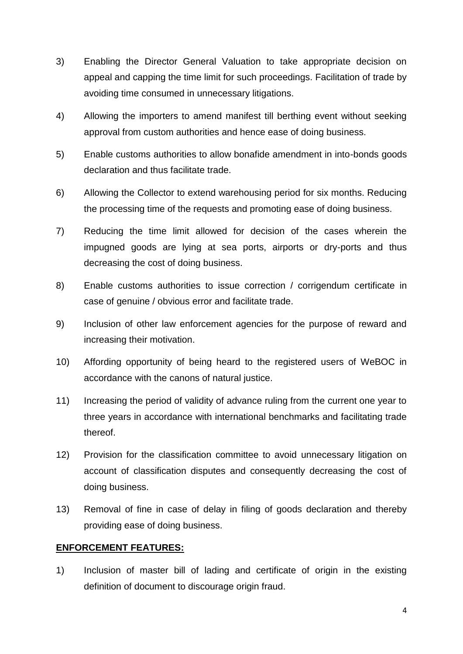- 3) Enabling the Director General Valuation to take appropriate decision on appeal and capping the time limit for such proceedings. Facilitation of trade by avoiding time consumed in unnecessary litigations.
- 4) Allowing the importers to amend manifest till berthing event without seeking approval from custom authorities and hence ease of doing business.
- 5) Enable customs authorities to allow bonafide amendment in into-bonds goods declaration and thus facilitate trade.
- 6) Allowing the Collector to extend warehousing period for six months. Reducing the processing time of the requests and promoting ease of doing business.
- 7) Reducing the time limit allowed for decision of the cases wherein the impugned goods are lying at sea ports, airports or dry-ports and thus decreasing the cost of doing business.
- 8) Enable customs authorities to issue correction / corrigendum certificate in case of genuine / obvious error and facilitate trade.
- 9) Inclusion of other law enforcement agencies for the purpose of reward and increasing their motivation.
- 10) Affording opportunity of being heard to the registered users of WeBOC in accordance with the canons of natural justice.
- 11) Increasing the period of validity of advance ruling from the current one year to three years in accordance with international benchmarks and facilitating trade thereof.
- 12) Provision for the classification committee to avoid unnecessary litigation on account of classification disputes and consequently decreasing the cost of doing business.
- 13) Removal of fine in case of delay in filing of goods declaration and thereby providing ease of doing business.

#### **ENFORCEMENT FEATURES:**

1) Inclusion of master bill of lading and certificate of origin in the existing definition of document to discourage origin fraud.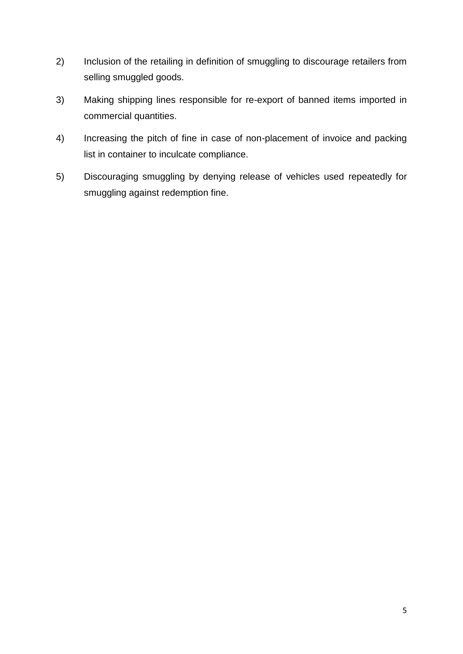- 2) Inclusion of the retailing in definition of smuggling to discourage retailers from selling smuggled goods.
- 3) Making shipping lines responsible for re-export of banned items imported in commercial quantities.
- 4) Increasing the pitch of fine in case of non-placement of invoice and packing list in container to inculcate compliance.
- 5) Discouraging smuggling by denying release of vehicles used repeatedly for smuggling against redemption fine.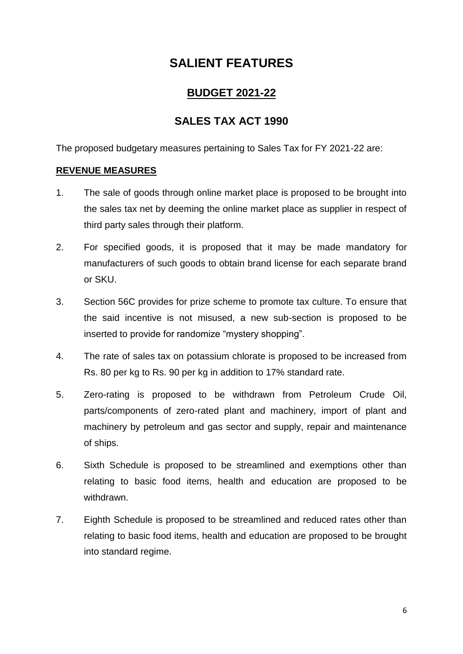### **BUDGET 2021-22**

## **SALES TAX ACT 1990**

The proposed budgetary measures pertaining to Sales Tax for FY 2021-22 are:

### **REVENUE MEASURES**

- 1. The sale of goods through online market place is proposed to be brought into the sales tax net by deeming the online market place as supplier in respect of third party sales through their platform.
- 2. For specified goods, it is proposed that it may be made mandatory for manufacturers of such goods to obtain brand license for each separate brand or SKU.
- 3. Section 56C provides for prize scheme to promote tax culture. To ensure that the said incentive is not misused, a new sub-section is proposed to be inserted to provide for randomize "mystery shopping".
- 4. The rate of sales tax on potassium chlorate is proposed to be increased from Rs. 80 per kg to Rs. 90 per kg in addition to 17% standard rate.
- 5. Zero-rating is proposed to be withdrawn from Petroleum Crude Oil, parts/components of zero-rated plant and machinery, import of plant and machinery by petroleum and gas sector and supply, repair and maintenance of ships.
- 6. Sixth Schedule is proposed to be streamlined and exemptions other than relating to basic food items, health and education are proposed to be withdrawn.
- 7. Eighth Schedule is proposed to be streamlined and reduced rates other than relating to basic food items, health and education are proposed to be brought into standard regime.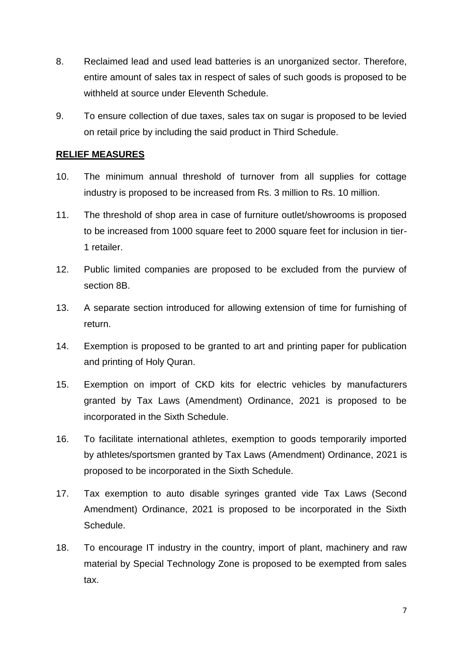- 8. Reclaimed lead and used lead batteries is an unorganized sector. Therefore, entire amount of sales tax in respect of sales of such goods is proposed to be withheld at source under Eleventh Schedule.
- 9. To ensure collection of due taxes, sales tax on sugar is proposed to be levied on retail price by including the said product in Third Schedule.

#### **RELIEF MEASURES**

- 10. The minimum annual threshold of turnover from all supplies for cottage industry is proposed to be increased from Rs. 3 million to Rs. 10 million.
- 11. The threshold of shop area in case of furniture outlet/showrooms is proposed to be increased from 1000 square feet to 2000 square feet for inclusion in tier-1 retailer.
- 12. Public limited companies are proposed to be excluded from the purview of section 8B.
- 13. A separate section introduced for allowing extension of time for furnishing of return.
- 14. Exemption is proposed to be granted to art and printing paper for publication and printing of Holy Quran.
- 15. Exemption on import of CKD kits for electric vehicles by manufacturers granted by Tax Laws (Amendment) Ordinance, 2021 is proposed to be incorporated in the Sixth Schedule.
- 16. To facilitate international athletes, exemption to goods temporarily imported by athletes/sportsmen granted by Tax Laws (Amendment) Ordinance, 2021 is proposed to be incorporated in the Sixth Schedule.
- 17. Tax exemption to auto disable syringes granted vide Tax Laws (Second Amendment) Ordinance, 2021 is proposed to be incorporated in the Sixth Schedule.
- 18. To encourage IT industry in the country, import of plant, machinery and raw material by Special Technology Zone is proposed to be exempted from sales tax.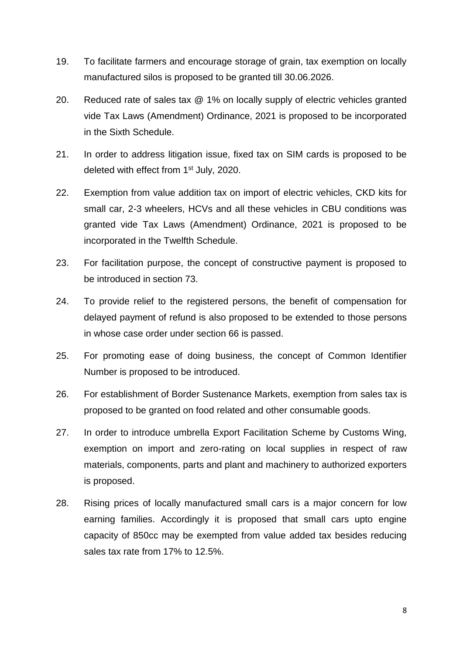- 19. To facilitate farmers and encourage storage of grain, tax exemption on locally manufactured silos is proposed to be granted till 30.06.2026.
- 20. Reduced rate of sales tax @ 1% on locally supply of electric vehicles granted vide Tax Laws (Amendment) Ordinance, 2021 is proposed to be incorporated in the Sixth Schedule.
- 21. In order to address litigation issue, fixed tax on SIM cards is proposed to be deleted with effect from 1<sup>st</sup> July, 2020.
- 22. Exemption from value addition tax on import of electric vehicles, CKD kits for small car, 2-3 wheelers, HCVs and all these vehicles in CBU conditions was granted vide Tax Laws (Amendment) Ordinance, 2021 is proposed to be incorporated in the Twelfth Schedule.
- 23. For facilitation purpose, the concept of constructive payment is proposed to be introduced in section 73.
- 24. To provide relief to the registered persons, the benefit of compensation for delayed payment of refund is also proposed to be extended to those persons in whose case order under section 66 is passed.
- 25. For promoting ease of doing business, the concept of Common Identifier Number is proposed to be introduced.
- 26. For establishment of Border Sustenance Markets, exemption from sales tax is proposed to be granted on food related and other consumable goods.
- 27. In order to introduce umbrella Export Facilitation Scheme by Customs Wing, exemption on import and zero-rating on local supplies in respect of raw materials, components, parts and plant and machinery to authorized exporters is proposed.
- 28. Rising prices of locally manufactured small cars is a major concern for low earning families. Accordingly it is proposed that small cars upto engine capacity of 850cc may be exempted from value added tax besides reducing sales tax rate from 17% to 12.5%.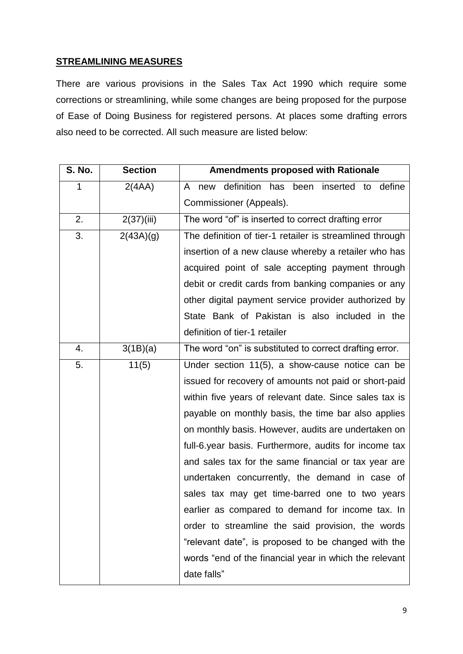#### **STREAMLINING MEASURES**

There are various provisions in the Sales Tax Act 1990 which require some corrections or streamlining, while some changes are being proposed for the purpose of Ease of Doing Business for registered persons. At places some drafting errors also need to be corrected. All such measure are listed below:

| <b>S. No.</b> | <b>Section</b> | <b>Amendments proposed with Rationale</b>                |
|---------------|----------------|----------------------------------------------------------|
| 1             | 2(4AA)         | new definition has been inserted<br>define<br>A<br>to    |
|               |                | Commissioner (Appeals).                                  |
| 2.            | 2(37)(iii)     | The word "of" is inserted to correct drafting error      |
| 3.            | 2(43A)(g)      | The definition of tier-1 retailer is streamlined through |
|               |                | insertion of a new clause whereby a retailer who has     |
|               |                | acquired point of sale accepting payment through         |
|               |                | debit or credit cards from banking companies or any      |
|               |                | other digital payment service provider authorized by     |
|               |                | State Bank of Pakistan is also included in the           |
|               |                | definition of tier-1 retailer                            |
| 4.            | 3(1B)(a)       | The word "on" is substituted to correct drafting error.  |
| 5.            | 11(5)          | Under section 11(5), a show-cause notice can be          |
|               |                | issued for recovery of amounts not paid or short-paid    |
|               |                | within five years of relevant date. Since sales tax is   |
|               |                | payable on monthly basis, the time bar also applies      |
|               |                | on monthly basis. However, audits are undertaken on      |
|               |                | full-6.year basis. Furthermore, audits for income tax    |
|               |                | and sales tax for the same financial or tax year are     |
|               |                | undertaken concurrently, the demand in case of           |
|               |                | sales tax may get time-barred one to two years           |
|               |                | earlier as compared to demand for income tax. In         |
|               |                | order to streamline the said provision, the words        |
|               |                | "relevant date", is proposed to be changed with the      |
|               |                | words "end of the financial year in which the relevant   |
|               |                | date falls"                                              |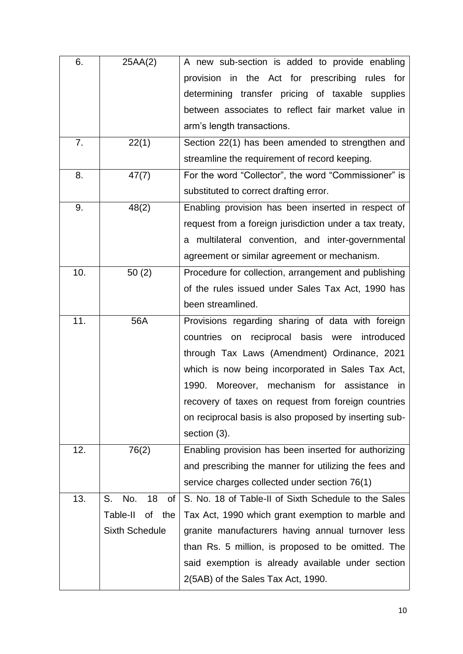| 6.  | 25AA(2)               | A new sub-section is added to provide enabling           |  |
|-----|-----------------------|----------------------------------------------------------|--|
|     |                       | provision in the Act for prescribing rules for           |  |
|     |                       | determining transfer pricing of taxable supplies         |  |
|     |                       | between associates to reflect fair market value in       |  |
|     |                       | arm's length transactions.                               |  |
| 7.  | 22(1)                 | Section 22(1) has been amended to strengthen and         |  |
|     |                       | streamline the requirement of record keeping.            |  |
| 8.  | 47(7)                 | For the word "Collector", the word "Commissioner" is     |  |
|     |                       | substituted to correct drafting error.                   |  |
| 9.  | 48(2)                 | Enabling provision has been inserted in respect of       |  |
|     |                       | request from a foreign jurisdiction under a tax treaty,  |  |
|     |                       | a multilateral convention, and inter-governmental        |  |
|     |                       | agreement or similar agreement or mechanism.             |  |
| 10. | 50(2)                 | Procedure for collection, arrangement and publishing     |  |
|     |                       | of the rules issued under Sales Tax Act, 1990 has        |  |
|     |                       | been streamlined.                                        |  |
| 11. | 56A                   | Provisions regarding sharing of data with foreign        |  |
|     |                       | countries<br>on reciprocal basis were<br>introduced      |  |
|     |                       | through Tax Laws (Amendment) Ordinance, 2021             |  |
|     |                       | which is now being incorporated in Sales Tax Act,        |  |
|     |                       | Moreover, mechanism for assistance<br>1990.<br><i>in</i> |  |
|     |                       | recovery of taxes on request from foreign countries      |  |
|     |                       | on reciprocal basis is also proposed by inserting sub-   |  |
|     |                       | section (3).                                             |  |
| 12. | 76(2)                 | Enabling provision has been inserted for authorizing     |  |
|     |                       | and prescribing the manner for utilizing the fees and    |  |
|     |                       | service charges collected under section 76(1)            |  |
| 13. | 18<br>S.<br>No.<br>Οf | S. No. 18 of Table-II of Sixth Schedule to the Sales     |  |
|     | Table-II<br>the<br>οf | Tax Act, 1990 which grant exemption to marble and        |  |
|     | <b>Sixth Schedule</b> | granite manufacturers having annual turnover less        |  |
|     |                       | than Rs. 5 million, is proposed to be omitted. The       |  |
|     |                       | said exemption is already available under section        |  |
|     |                       | 2(5AB) of the Sales Tax Act, 1990.                       |  |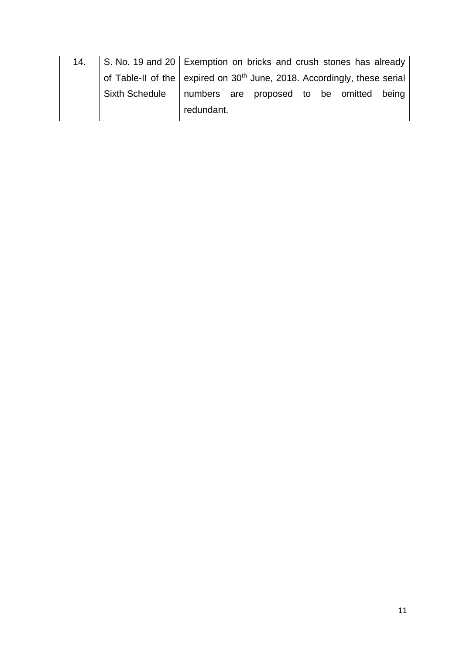| 14. |                       | S. No. 19 and 20 Exemption on bricks and crush stones has already          |
|-----|-----------------------|----------------------------------------------------------------------------|
|     |                       | of Table-II of the expired on $30th$ June, 2018. Accordingly, these serial |
|     | <b>Sixth Schedule</b> | numbers are proposed to be omitted being                                   |
|     |                       | redundant.                                                                 |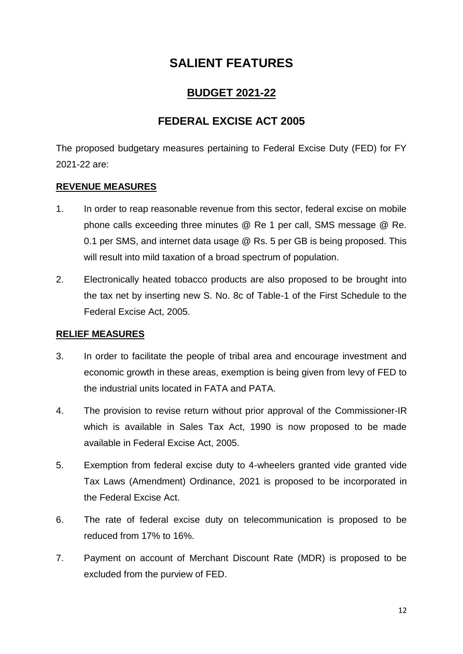### **BUDGET 2021-22**

### **FEDERAL EXCISE ACT 2005**

The proposed budgetary measures pertaining to Federal Excise Duty (FED) for FY 2021-22 are:

### **REVENUE MEASURES**

- 1. In order to reap reasonable revenue from this sector, federal excise on mobile phone calls exceeding three minutes @ Re 1 per call, SMS message @ Re. 0.1 per SMS, and internet data usage @ Rs. 5 per GB is being proposed. This will result into mild taxation of a broad spectrum of population.
- 2. Electronically heated tobacco products are also proposed to be brought into the tax net by inserting new S. No. 8c of Table-1 of the First Schedule to the Federal Excise Act, 2005.

### **RELIEF MEASURES**

- 3. In order to facilitate the people of tribal area and encourage investment and economic growth in these areas, exemption is being given from levy of FED to the industrial units located in FATA and PATA.
- 4. The provision to revise return without prior approval of the Commissioner-IR which is available in Sales Tax Act, 1990 is now proposed to be made available in Federal Excise Act, 2005.
- 5. Exemption from federal excise duty to 4-wheelers granted vide granted vide Tax Laws (Amendment) Ordinance, 2021 is proposed to be incorporated in the Federal Excise Act.
- 6. The rate of federal excise duty on telecommunication is proposed to be reduced from 17% to 16%.
- 7. Payment on account of Merchant Discount Rate (MDR) is proposed to be excluded from the purview of FED.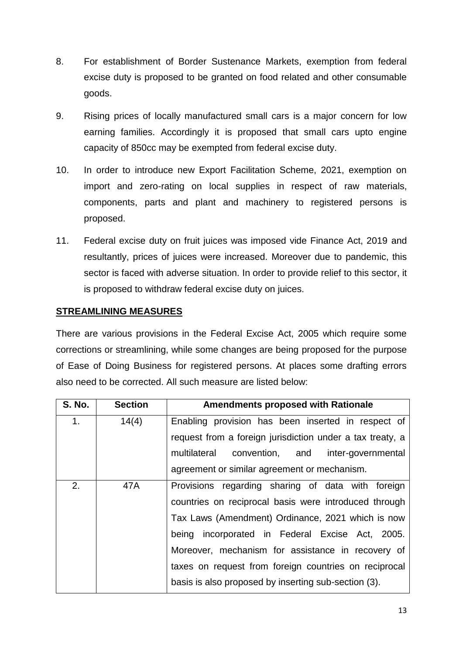- 8. For establishment of Border Sustenance Markets, exemption from federal excise duty is proposed to be granted on food related and other consumable goods.
- 9. Rising prices of locally manufactured small cars is a major concern for low earning families. Accordingly it is proposed that small cars upto engine capacity of 850cc may be exempted from federal excise duty.
- 10. In order to introduce new Export Facilitation Scheme, 2021, exemption on import and zero-rating on local supplies in respect of raw materials, components, parts and plant and machinery to registered persons is proposed.
- 11. Federal excise duty on fruit juices was imposed vide Finance Act, 2019 and resultantly, prices of juices were increased. Moreover due to pandemic, this sector is faced with adverse situation. In order to provide relief to this sector, it is proposed to withdraw federal excise duty on juices.

### **STREAMLINING MEASURES**

There are various provisions in the Federal Excise Act, 2005 which require some corrections or streamlining, while some changes are being proposed for the purpose of Ease of Doing Business for registered persons. At places some drafting errors also need to be corrected. All such measure are listed below:

| <b>S. No.</b>  | <b>Section</b>                                    | <b>Amendments proposed with Rationale</b>                 |
|----------------|---------------------------------------------------|-----------------------------------------------------------|
| 1 <sub>1</sub> | 14(4)                                             | Enabling provision has been inserted in respect of        |
|                |                                                   | request from a foreign jurisdiction under a tax treaty, a |
|                |                                                   | multilateral convention, and inter-governmental           |
|                |                                                   | agreement or similar agreement or mechanism.              |
| 2.             | 47A                                               | Provisions regarding sharing of data with foreign         |
|                |                                                   | countries on reciprocal basis were introduced through     |
|                |                                                   | Tax Laws (Amendment) Ordinance, 2021 which is now         |
|                |                                                   | being incorporated in Federal Excise Act, 2005.           |
|                | Moreover, mechanism for assistance in recovery of |                                                           |
|                |                                                   | taxes on request from foreign countries on reciprocal     |
|                |                                                   | basis is also proposed by inserting sub-section (3).      |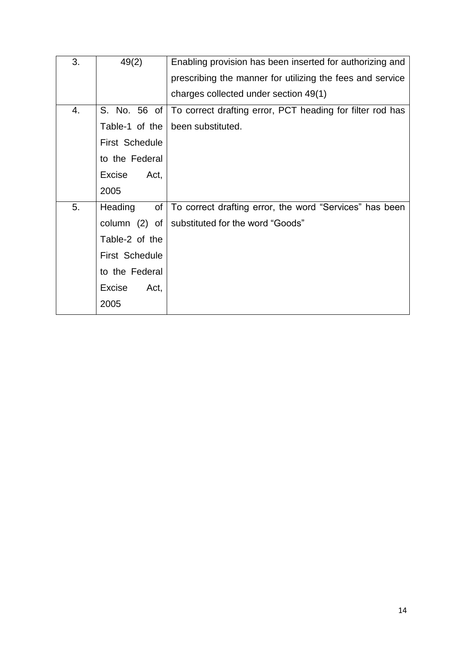| 3. | 49(2)           | Enabling provision has been inserted for authorizing and  |
|----|-----------------|-----------------------------------------------------------|
|    |                 | prescribing the manner for utilizing the fees and service |
|    |                 | charges collected under section 49(1)                     |
| 4. | S. No. 56 of    | To correct drafting error, PCT heading for filter rod has |
|    | Table-1 of the  | been substituted.                                         |
|    | First Schedule  |                                                           |
|    | to the Federal  |                                                           |
|    | Excise<br>Act,  |                                                           |
|    | 2005            |                                                           |
| 5. | Heading<br>of   | To correct drafting error, the word "Services" has been   |
|    | column $(2)$ of | substituted for the word "Goods"                          |
|    | Table-2 of the  |                                                           |
|    | First Schedule  |                                                           |
|    | to the Federal  |                                                           |
|    | Excise<br>Act,  |                                                           |
|    | 2005            |                                                           |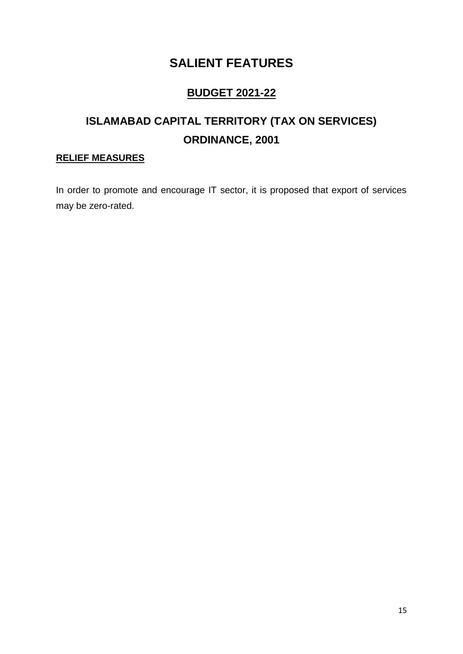## **BUDGET 2021-22**

# **ISLAMABAD CAPITAL TERRITORY (TAX ON SERVICES) ORDINANCE, 2001**

### **RELIEF MEASURES**

In order to promote and encourage IT sector, it is proposed that export of services may be zero-rated.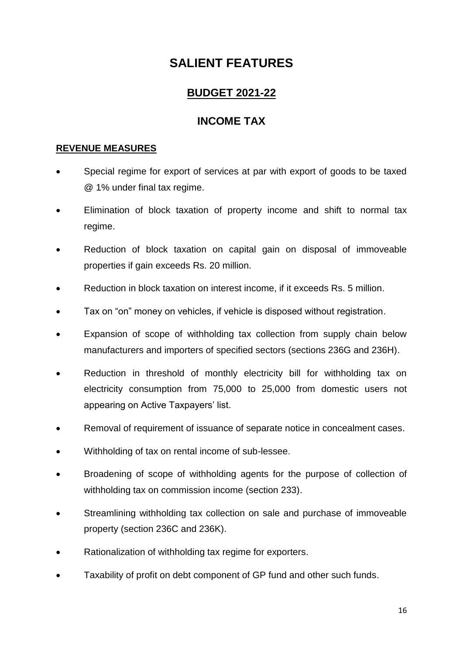### **BUDGET 2021-22**

### **INCOME TAX**

### **REVENUE MEASURES**

- Special regime for export of services at par with export of goods to be taxed @ 1% under final tax regime.
- Elimination of block taxation of property income and shift to normal tax regime.
- Reduction of block taxation on capital gain on disposal of immoveable properties if gain exceeds Rs. 20 million.
- Reduction in block taxation on interest income, if it exceeds Rs. 5 million.
- Tax on "on" money on vehicles, if vehicle is disposed without registration.
- Expansion of scope of withholding tax collection from supply chain below manufacturers and importers of specified sectors (sections 236G and 236H).
- Reduction in threshold of monthly electricity bill for withholding tax on electricity consumption from 75,000 to 25,000 from domestic users not appearing on Active Taxpayers' list.
- Removal of requirement of issuance of separate notice in concealment cases.
- Withholding of tax on rental income of sub-lessee.
- Broadening of scope of withholding agents for the purpose of collection of withholding tax on commission income (section 233).
- Streamlining withholding tax collection on sale and purchase of immoveable property (section 236C and 236K).
- Rationalization of withholding tax regime for exporters.
- Taxability of profit on debt component of GP fund and other such funds.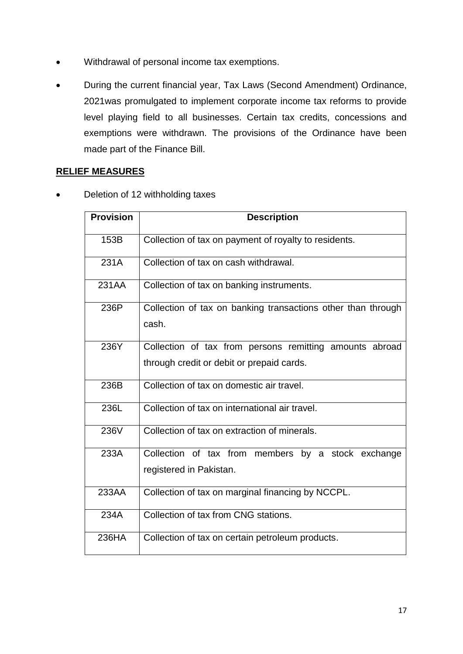- Withdrawal of personal income tax exemptions.
- During the current financial year, Tax Laws (Second Amendment) Ordinance, 2021was promulgated to implement corporate income tax reforms to provide level playing field to all businesses. Certain tax credits, concessions and exemptions were withdrawn. The provisions of the Ordinance have been made part of the Finance Bill.

### **RELIEF MEASURES**

Deletion of 12 withholding taxes

| <b>Provision</b> | <b>Description</b>                                                                                   |
|------------------|------------------------------------------------------------------------------------------------------|
| 153B             | Collection of tax on payment of royalty to residents.                                                |
| 231A             | Collection of tax on cash withdrawal.                                                                |
| 231AA            | Collection of tax on banking instruments.                                                            |
| 236P             | Collection of tax on banking transactions other than through<br>cash.                                |
| 236Y             | Collection of tax from persons remitting amounts abroad<br>through credit or debit or prepaid cards. |
| 236B             | Collection of tax on domestic air travel.                                                            |
| 236L             | Collection of tax on international air travel.                                                       |
| 236V             | Collection of tax on extraction of minerals.                                                         |
| 233A             | Collection of tax from members by a stock exchange<br>registered in Pakistan.                        |
| 233AA            | Collection of tax on marginal financing by NCCPL.                                                    |
| 234A             | Collection of tax from CNG stations.                                                                 |
| 236HA            | Collection of tax on certain petroleum products.                                                     |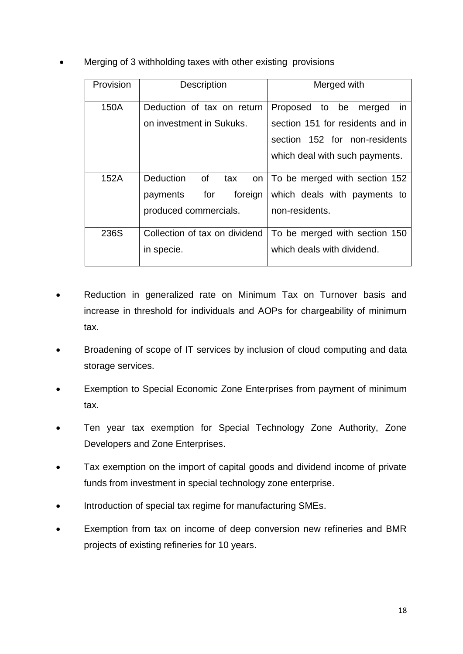Merging of 3 withholding taxes with other existing provisions

| Provision | <b>Description</b>            | Merged with                      |
|-----------|-------------------------------|----------------------------------|
| 150A      | Deduction of tax on return    | Proposed to be<br>merged<br>-in  |
|           | on investment in Sukuks.      | section 151 for residents and in |
|           |                               | section 152 for non-residents    |
|           |                               | which deal with such payments.   |
| 152A      | Deduction<br>of<br>tax<br>on  | To be merged with section 152    |
|           | for<br>foreign<br>payments    | which deals with payments to     |
|           | produced commercials.         | non-residents.                   |
| 236S      | Collection of tax on dividend | To be merged with section 150    |
|           | in specie.                    | which deals with dividend.       |
|           |                               |                                  |

- Reduction in generalized rate on Minimum Tax on Turnover basis and increase in threshold for individuals and AOPs for chargeability of minimum tax.
- Broadening of scope of IT services by inclusion of cloud computing and data storage services.
- Exemption to Special Economic Zone Enterprises from payment of minimum tax.
- Ten year tax exemption for Special Technology Zone Authority, Zone Developers and Zone Enterprises.
- Tax exemption on the import of capital goods and dividend income of private funds from investment in special technology zone enterprise.
- Introduction of special tax regime for manufacturing SMEs.
- Exemption from tax on income of deep conversion new refineries and BMR projects of existing refineries for 10 years.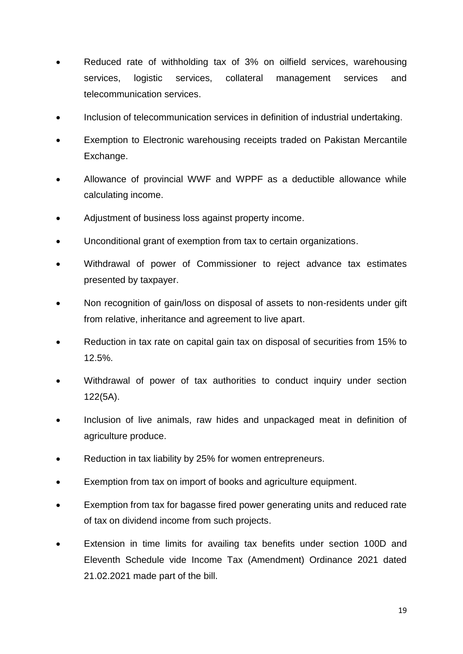- Reduced rate of withholding tax of 3% on oilfield services, warehousing services, logistic services, collateral management services and telecommunication services.
- Inclusion of telecommunication services in definition of industrial undertaking.
- Exemption to Electronic warehousing receipts traded on Pakistan Mercantile Exchange.
- Allowance of provincial WWF and WPPF as a deductible allowance while calculating income.
- Adjustment of business loss against property income.
- Unconditional grant of exemption from tax to certain organizations.
- Withdrawal of power of Commissioner to reject advance tax estimates presented by taxpayer.
- Non recognition of gain/loss on disposal of assets to non-residents under gift from relative, inheritance and agreement to live apart.
- Reduction in tax rate on capital gain tax on disposal of securities from 15% to 12.5%.
- Withdrawal of power of tax authorities to conduct inquiry under section 122(5A).
- Inclusion of live animals, raw hides and unpackaged meat in definition of agriculture produce.
- Reduction in tax liability by 25% for women entrepreneurs.
- Exemption from tax on import of books and agriculture equipment.
- Exemption from tax for bagasse fired power generating units and reduced rate of tax on dividend income from such projects.
- Extension in time limits for availing tax benefits under section 100D and Eleventh Schedule vide Income Tax (Amendment) Ordinance 2021 dated 21.02.2021 made part of the bill.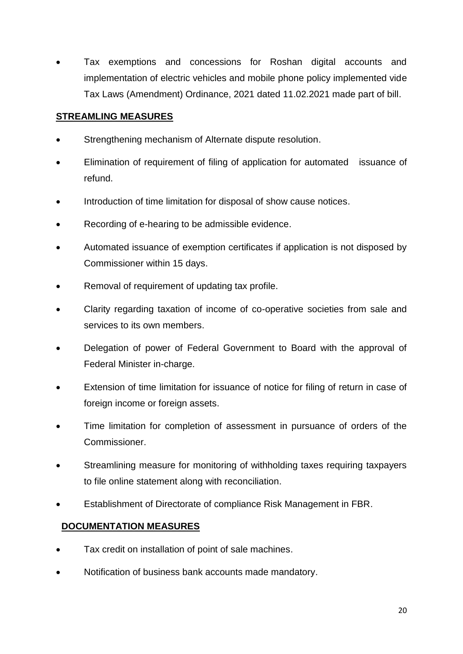Tax exemptions and concessions for Roshan digital accounts and implementation of electric vehicles and mobile phone policy implemented vide Tax Laws (Amendment) Ordinance, 2021 dated 11.02.2021 made part of bill.

### **STREAMLING MEASURES**

- Strengthening mechanism of Alternate dispute resolution.
- Elimination of requirement of filing of application for automated issuance of refund.
- Introduction of time limitation for disposal of show cause notices.
- Recording of e-hearing to be admissible evidence.
- Automated issuance of exemption certificates if application is not disposed by Commissioner within 15 days.
- Removal of requirement of updating tax profile.
- Clarity regarding taxation of income of co-operative societies from sale and services to its own members.
- Delegation of power of Federal Government to Board with the approval of Federal Minister in-charge.
- Extension of time limitation for issuance of notice for filing of return in case of foreign income or foreign assets.
- Time limitation for completion of assessment in pursuance of orders of the Commissioner.
- Streamlining measure for monitoring of withholding taxes requiring taxpayers to file online statement along with reconciliation.
- Establishment of Directorate of compliance Risk Management in FBR.

### **DOCUMENTATION MEASURES**

- Tax credit on installation of point of sale machines.
- Notification of business bank accounts made mandatory.